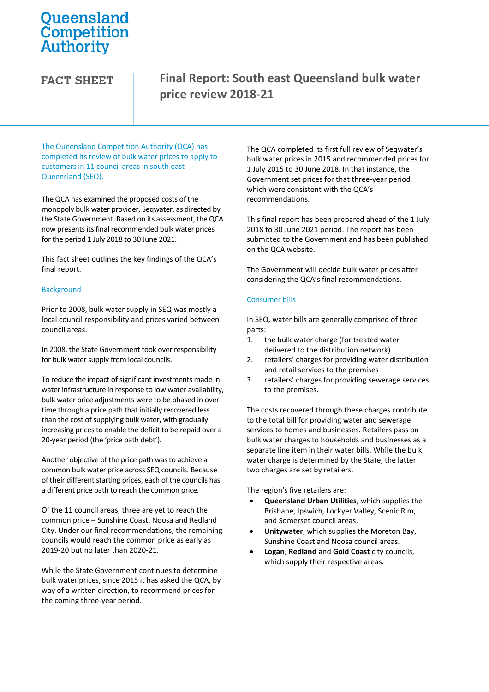# Queensland Competition Authority

### **FACT SHEET**

## **Final Report: South east Queensland bulk water price review 2018-21**

The Queensland Competition Authority (QCA) has completed its review of bulk water prices to apply to customers in 11 council areas in south east Queensland (SEQ).

The QCA has examined the proposed costs of the monopoly bulk water provider, Seqwater, as directed by the State Government. Based on its assessment, the QCA now presents its final recommended bulk water prices for the period 1 July 2018 to 30 June 2021.

This fact sheet outlines the key findings of the QCA's final report.

#### **Background**

Prior to 2008, bulk water supply in SEQ was mostly a local council responsibility and prices varied between council areas.

In 2008, the State Government took over responsibility for bulk water supply from local councils.

To reduce the impact of significant investments made in water infrastructure in response to low water availability, bulk water price adjustments were to be phased in over time through a price path that initially recovered less than the cost of supplying bulk water, with gradually increasing prices to enable the deficit to be repaid over a 20-year period (the 'price path debt').

Another objective of the price path was to achieve a common bulk water price across SEQ councils. Because of their different starting prices, each of the councils has a different price path to reach the common price.

Of the 11 council areas, three are yet to reach the common price – Sunshine Coast, Noosa and Redland City. Under our final recommendations, the remaining councils would reach the common price as early as 2019-20 but no later than 2020-21.

While the State Government continues to determine bulk water prices, since 2015 it has asked the QCA, by way of a written direction, to recommend prices for the coming three-year period.

The QCA completed its first full review of Seqwater's bulk water prices in 2015 and recommended prices for 1 July 2015 to 30 June 2018. In that instance, the Government set prices for that three-year period which were consistent with the QCA's recommendations.

This final report has been prepared ahead of the 1 July 2018 to 30 June 2021 period. The report has been submitted to the Government and has been published on the QCA website.

The Government will decide bulk water prices after considering the QCA's final recommendations.

#### Consumer bills

In SEQ, water bills are generally comprised of three parts:

- 1. the bulk water charge (for treated water delivered to the distribution network)
- 2. retailers' charges for providing water distribution and retail services to the premises
- 3. retailers' charges for providing sewerage services to the premises.

The costs recovered through these charges contribute to the total bill for providing water and sewerage services to homes and businesses. Retailers pass on bulk water charges to households and businesses as a separate line item in their water bills. While the bulk water charge is determined by the State, the latter two charges are set by retailers.

The region's five retailers are:

- **Queensland Urban Utilities**, which supplies the Brisbane, Ipswich, Lockyer Valley, Scenic Rim, and Somerset council areas.
- **Unitywater**, which supplies the Moreton Bay, Sunshine Coast and Noosa council areas.
- **Logan**, **Redland** and **Gold Coast** city councils, which supply their respective areas.